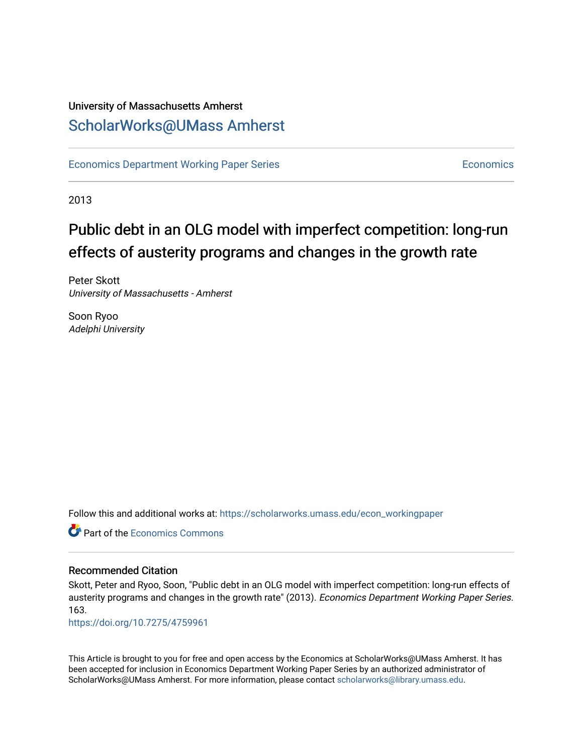### University of Massachusetts Amherst [ScholarWorks@UMass Amherst](https://scholarworks.umass.edu/)

[Economics Department Working Paper Series](https://scholarworks.umass.edu/econ_workingpaper) **Economics** [Economics](https://scholarworks.umass.edu/economics) Economics

2013

## Public debt in an OLG model with imperfect competition: long-run effects of austerity programs and changes in the growth rate

Peter Skott University of Massachusetts - Amherst

Soon Ryoo Adelphi University

Follow this and additional works at: [https://scholarworks.umass.edu/econ\\_workingpaper](https://scholarworks.umass.edu/econ_workingpaper?utm_source=scholarworks.umass.edu%2Fecon_workingpaper%2F163&utm_medium=PDF&utm_campaign=PDFCoverPages) 

**C** Part of the [Economics Commons](http://network.bepress.com/hgg/discipline/340?utm_source=scholarworks.umass.edu%2Fecon_workingpaper%2F163&utm_medium=PDF&utm_campaign=PDFCoverPages)

#### Recommended Citation

Skott, Peter and Ryoo, Soon, "Public debt in an OLG model with imperfect competition: long-run effects of austerity programs and changes in the growth rate" (2013). Economics Department Working Paper Series. 163.

<https://doi.org/10.7275/4759961>

This Article is brought to you for free and open access by the Economics at ScholarWorks@UMass Amherst. It has been accepted for inclusion in Economics Department Working Paper Series by an authorized administrator of ScholarWorks@UMass Amherst. For more information, please contact [scholarworks@library.umass.edu.](mailto:scholarworks@library.umass.edu)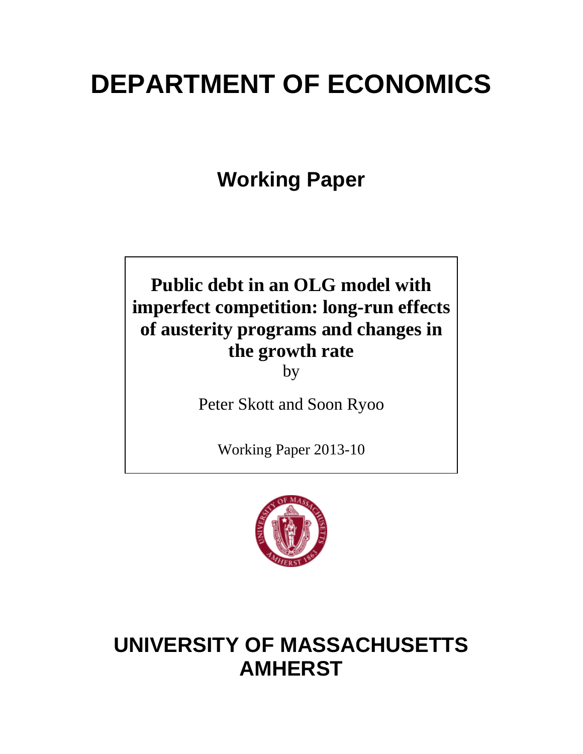# **DEPARTMENT OF ECONOMICS**

**Working Paper**

# **Public debt in an OLG model with imperfect competition: long-run effects of austerity programs and changes in the growth rate**

by

Peter Skott and Soon Ryoo

Working Paper 2013-10



# **UNIVERSITY OF MASSACHUSETTS AMHERST**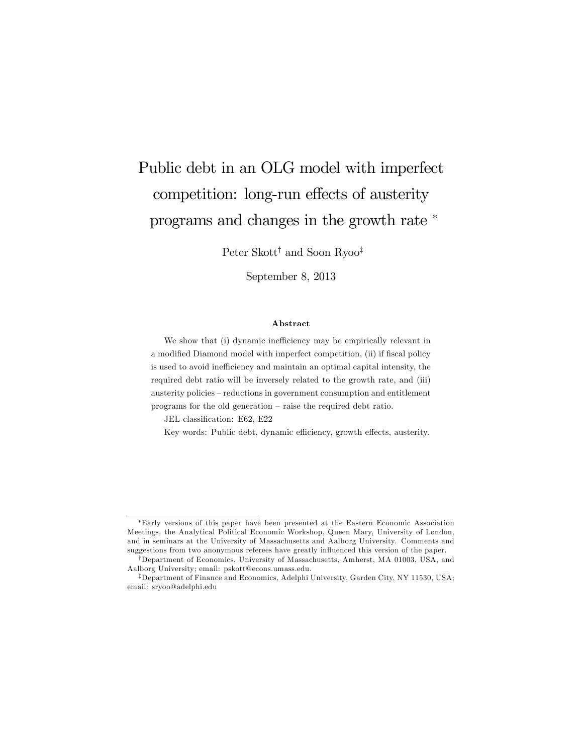# Public debt in an OLG model with imperfect competition: long-run effects of austerity programs and changes in the growth rate

Peter Skott<sup>†</sup> and Soon Ryoo<sup>‡</sup>

September 8, 2013

#### Abstract

We show that (i) dynamic inefficiency may be empirically relevant in a modified Diamond model with imperfect competition, (ii) if fiscal policy is used to avoid inefficiency and maintain an optimal capital intensity, the required debt ratio will be inversely related to the growth rate, and (iii) austerity policies - reductions in government consumption and entitlement programs for the old generation  $-$  raise the required debt ratio.

JEL classification: E62, E22

Key words: Public debt, dynamic efficiency, growth effects, austerity.

Early versions of this paper have been presented at the Eastern Economic Association Meetings, the Analytical Political Economic Workshop, Queen Mary, University of London, and in seminars at the University of Massachusetts and Aalborg University. Comments and suggestions from two anonymous referees have greatly influenced this version of the paper.

<sup>&</sup>lt;sup>†</sup>Department of Economics, University of Massachusetts, Amherst, MA 01003, USA, and Aalborg University; email: pskott@econs.umass.edu.

<sup>&</sup>lt;sup>‡</sup>Department of Finance and Economics, Adelphi University, Garden City, NY 11530, USA; email: sryoo@adelphi.edu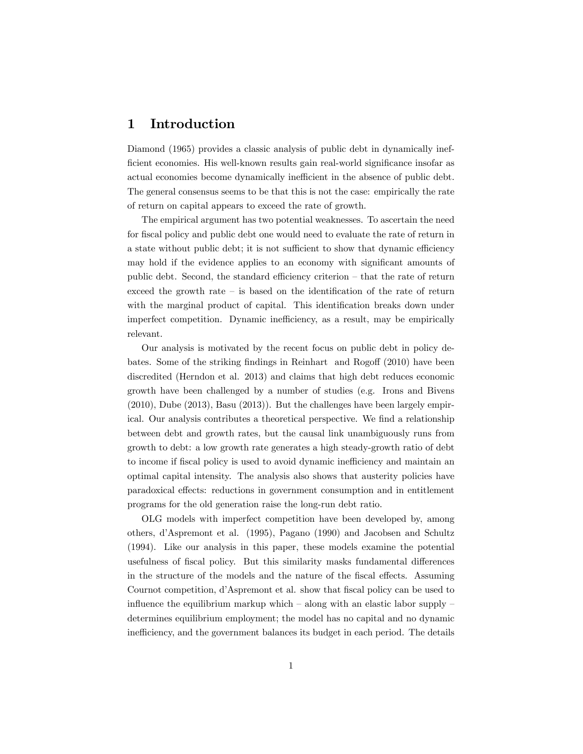#### 1 Introduction

Diamond (1965) provides a classic analysis of public debt in dynamically inefficient economies. His well-known results gain real-world significance insofar as actual economies become dynamically inefficient in the absence of public debt. The general consensus seems to be that this is not the case: empirically the rate of return on capital appears to exceed the rate of growth.

The empirical argument has two potential weaknesses. To ascertain the need for fiscal policy and public debt one would need to evaluate the rate of return in a state without public debt; it is not sufficient to show that dynamic efficiency may hold if the evidence applies to an economy with significant amounts of public debt. Second, the standard efficiency criterion  $-$  that the rate of return exceed the growth rate  $\overline{\phantom{a}}$  is based on the identification of the rate of return with the marginal product of capital. This identification breaks down under imperfect competition. Dynamic inefficiency, as a result, may be empirically relevant.

Our analysis is motivated by the recent focus on public debt in policy debates. Some of the striking findings in Reinhart and Rogoff (2010) have been discredited (Herndon et al. 2013) and claims that high debt reduces economic growth have been challenged by a number of studies (e.g. Irons and Bivens (2010), Dube (2013), Basu (2013)). But the challenges have been largely empirical. Our analysis contributes a theoretical perspective. We find a relationship between debt and growth rates, but the causal link unambiguously runs from growth to debt: a low growth rate generates a high steady-growth ratio of debt to income if fiscal policy is used to avoid dynamic inefficiency and maintain an optimal capital intensity. The analysis also shows that austerity policies have paradoxical effects: reductions in government consumption and in entitlement programs for the old generation raise the long-run debt ratio.

OLG models with imperfect competition have been developed by, among others, díAspremont et al. (1995), Pagano (1990) and Jacobsen and Schultz (1994). Like our analysis in this paper, these models examine the potential usefulness of fiscal policy. But this similarity masks fundamental differences in the structure of the models and the nature of the fiscal effects. Assuming Cournot competition, d'Aspremont et al. show that fiscal policy can be used to influence the equilibrium markup which  $\sim$  along with an elastic labor supply  $\sim$ determines equilibrium employment; the model has no capital and no dynamic inefficiency, and the government balances its budget in each period. The details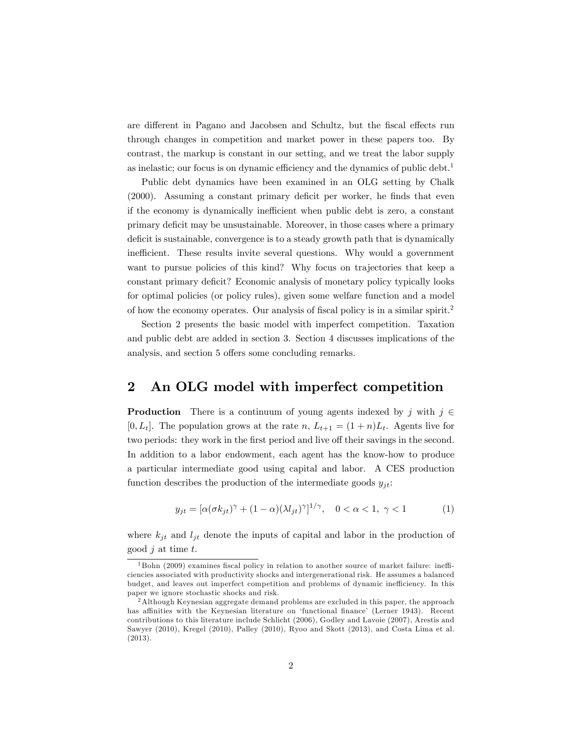are different in Pagano and Jacobsen and Schultz, but the fiscal effects run through changes in competition and market power in these papers too. By contrast, the markup is constant in our setting, and we treat the labor supply as inelastic; our focus is on dynamic efficiency and the dynamics of public debt.<sup>1</sup>

Public debt dynamics have been examined in an OLG setting by Chalk  $(2000)$ . Assuming a constant primary deficit per worker, he finds that even if the economy is dynamically inefficient when public debt is zero, a constant primary deficit may be unsustainable. Moreover, in those cases where a primary deficit is sustainable, convergence is to a steady growth path that is dynamically inefficient. These results invite several questions. Why would a government want to pursue policies of this kind? Why focus on trajectories that keep a constant primary deficit? Economic analysis of monetary policy typically looks for optimal policies (or policy rules), given some welfare function and a model of how the economy operates. Our analysis of fiscal policy is in a similar spirit.<sup>2</sup>

Section 2 presents the basic model with imperfect competition. Taxation and public debt are added in section 3. Section 4 discusses implications of the analysis, and section 5 offers some concluding remarks.

#### 2 An OLG model with imperfect competition

**Production** There is a continuum of young agents indexed by j with  $j \in$  $[0, L_t]$ . The population grows at the rate n,  $L_{t+1} = (1 + n)L_t$ . Agents live for two periods: they work in the first period and live off their savings in the second. In addition to a labor endowment, each agent has the know-how to produce a particular intermediate good using capital and labor. A CES production function describes the production of the intermediate goods  $y_{it}$ :

$$
y_{jt} = [\alpha(\sigma k_{jt})^{\gamma} + (1 - \alpha)(\lambda l_{jt})^{\gamma}]^{1/\gamma}, \quad 0 < \alpha < 1, \ \gamma < 1
$$
 (1)

where  $k_{jt}$  and  $l_{jt}$  denote the inputs of capital and labor in the production of good  $j$  at time  $t$ .

 $1$ Bohn (2009) examines fiscal policy in relation to another source of market failure: inefficiencies associated with productivity shocks and intergenerational risk. He assumes a balanced budget, and leaves out imperfect competition and problems of dynamic inefficiency. In this paper we ignore stochastic shocks and risk.

<sup>2</sup>Although Keynesian aggregate demand problems are excluded in this paper, the approach has affinities with the Keynesian literature on 'functional finance' (Lerner 1943). Recent contributions to this literature include Schlicht (2006), Godley and Lavoie (2007), Arestis and Sawyer (2010), Kregel (2010), Palley (2010), Ryoo and Skott (2013), and Costa Lima et al. (2013).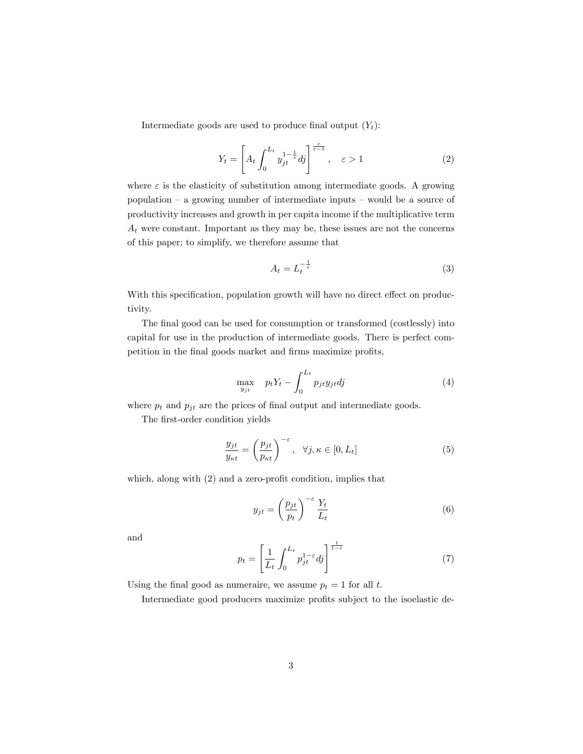Intermediate goods are used to produce final output  $(Y_t)$ :

$$
Y_t = \left[ A_t \int_0^{L_t} y_{jt}^{1-\frac{1}{\varepsilon}} dj \right]^{\frac{\varepsilon}{\varepsilon-1}}, \quad \varepsilon > 1 \tag{2}
$$

where  $\varepsilon$  is the elasticity of substitution among intermediate goods. A growing population  $-$  a growing number of intermediate inputs  $-$  would be a source of productivity increases and growth in per capita income if the multiplicative term  $A_t$  were constant. Important as they may be, these issues are not the concerns of this paper; to simplify, we therefore assume that

$$
A_t = L_t^{-\frac{1}{\varepsilon}} \tag{3}
$$

With this specification, population growth will have no direct effect on productivity.

The final good can be used for consumption or transformed (costlessly) into capital for use in the production of intermediate goods. There is perfect competition in the final goods market and firms maximize profits,

$$
\max_{y_{jt}} \quad p_t Y_t - \int_0^{L_t} p_{jt} y_{jt} dy \tag{4}
$$

where  $p_t$  and  $p_{jt}$  are the prices of final output and intermediate goods.

The first-order condition yields

$$
\frac{y_{jt}}{y_{\kappa t}} = \left(\frac{p_{jt}}{p_{\kappa t}}\right)^{-\varepsilon}, \quad \forall j, \kappa \in [0, L_t]
$$
\n(5)

which, along with  $(2)$  and a zero-profit condition, implies that

$$
y_{jt} = \left(\frac{p_{jt}}{p_t}\right)^{-\varepsilon} \frac{Y_t}{L_t} \tag{6}
$$

and

$$
p_t = \left[\frac{1}{L_t} \int_0^{L_t} p_{jt}^{1-\varepsilon} dj\right]^{\frac{1}{1-\varepsilon}}\tag{7}
$$

Using the final good as numeraire, we assume  $p_t = 1$  for all t.

Intermediate good producers maximize profits subject to the isoelastic de-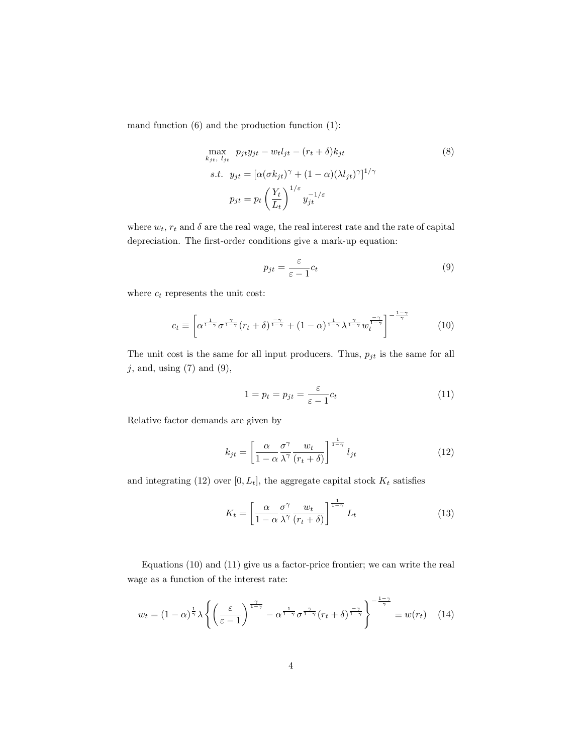mand function (6) and the production function (1):

$$
\max_{k_{jt}, l_{jt}} p_{jt} y_{jt} - w_t l_{jt} - (r_t + \delta) k_{jt}
$$
\n
$$
s.t. \quad y_{jt} = [\alpha(\sigma k_{jt})^{\gamma} + (1 - \alpha)(\lambda l_{jt})^{\gamma}]^{1/\gamma}
$$
\n
$$
p_{jt} = p_t \left(\frac{Y_t}{L_t}\right)^{1/\varepsilon} y_{jt}^{-1/\varepsilon}
$$
\n(8)

where  $w_t$ ,  $r_t$  and  $\delta$  are the real wage, the real interest rate and the rate of capital depreciation. The first-order conditions give a mark-up equation:

$$
p_{jt} = \frac{\varepsilon}{\varepsilon - 1} c_t \tag{9}
$$

where  $c_t$  represents the unit cost:

$$
c_t \equiv \left[ \alpha^{\frac{1}{1-\gamma}} \sigma^{\frac{\gamma}{1-\gamma}} (r_t + \delta)^{\frac{-\gamma}{1-\gamma}} + (1-\alpha)^{\frac{1}{1-\gamma}} \lambda^{\frac{\gamma}{1-\gamma}} w_t^{\frac{-\gamma}{1-\gamma}} \right]^{-\frac{1-\gamma}{\gamma}}
$$
(10)

The unit cost is the same for all input producers. Thus,  $p_{jt}$  is the same for all  $j,$  and, using (7) and (9),

$$
1 = p_t = p_{jt} = \frac{\varepsilon}{\varepsilon - 1} c_t \tag{11}
$$

Relative factor demands are given by

$$
k_{jt} = \left[\frac{\alpha}{1-\alpha} \frac{\sigma^{\gamma}}{\lambda^{\gamma}} \frac{w_t}{(r_t+\delta)}\right]^{\frac{1}{1-\gamma}} l_{jt}
$$
 (12)

and integrating (12) over  $[0, L_t]$ , the aggregate capital stock  $K_t$  satisfies

$$
K_t = \left[\frac{\alpha}{1-\alpha} \frac{\sigma^{\gamma}}{\lambda^{\gamma}} \frac{w_t}{(r_t+\delta)}\right]^{\frac{1}{1-\gamma}} L_t
$$
 (13)

Equations (10) and (11) give us a factor-price frontier; we can write the real wage as a function of the interest rate:

$$
w_t = (1 - \alpha)^{\frac{1}{\gamma}} \lambda \left\{ \left( \frac{\varepsilon}{\varepsilon - 1} \right)^{\frac{\gamma}{1 - \gamma}} - \alpha^{\frac{1}{1 - \gamma}} \sigma^{\frac{\gamma}{1 - \gamma}} (r_t + \delta)^{\frac{-\gamma}{1 - \gamma}} \right\}^{-\frac{1 - \gamma}{\gamma}} \equiv w(r_t) \quad (14)
$$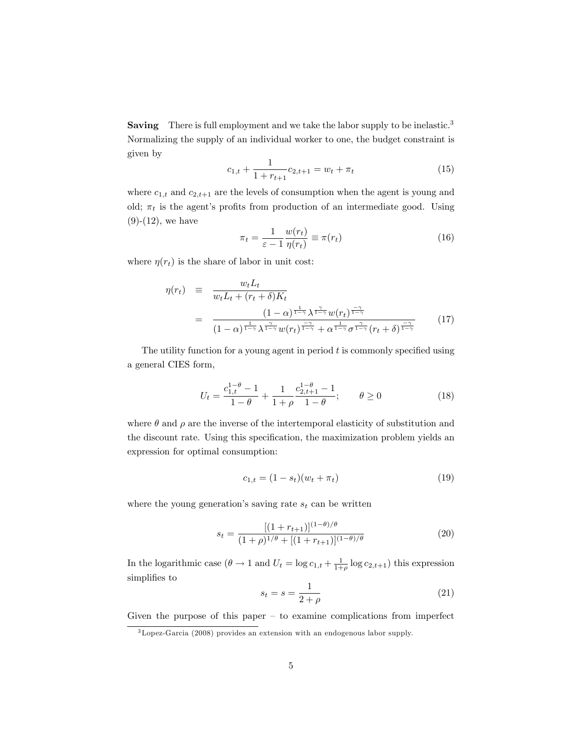Saving There is full employment and we take the labor supply to be inelastic.<sup>3</sup> Normalizing the supply of an individual worker to one, the budget constraint is given by

$$
c_{1,t} + \frac{1}{1 + r_{t+1}} c_{2,t+1} = w_t + \pi_t
$$
\n(15)

where  $c_{1,t}$  and  $c_{2,t+1}$  are the levels of consumption when the agent is young and old;  $\pi_t$  is the agent's profits from production of an intermediate good. Using  $(9)-(12)$ , we have

$$
\pi_t = \frac{1}{\varepsilon - 1} \frac{w(r_t)}{\eta(r_t)} \equiv \pi(r_t)
$$
\n(16)

where  $\eta(r_t)$  is the share of labor in unit cost:

$$
\eta(r_t) \equiv \frac{w_t L_t}{w_t L_t + (r_t + \delta) K_t}
$$
\n
$$
= \frac{(1 - \alpha)^{\frac{1}{1 - \gamma}} \lambda^{\frac{\gamma}{1 - \gamma}} w(r_t)^{\frac{-\gamma}{1 - \gamma}}}{(1 - \alpha)^{\frac{1}{1 - \gamma}} \lambda^{\frac{\gamma}{1 - \gamma}} w(r_t)^{\frac{\gamma}{1 - \gamma}} + \alpha^{\frac{1}{1 - \gamma}} \sigma^{\frac{\gamma}{1 - \gamma}} (r_t + \delta)^{\frac{-\gamma}{1 - \gamma}}} \tag{17}
$$

The utility function for a young agent in period  $t$  is commonly specified using a general CIES form,

$$
U_t = \frac{c_{1,t}^{1-\theta} - 1}{1-\theta} + \frac{1}{1+\rho} \frac{c_{2,t+1}^{1-\theta} - 1}{1-\theta}; \qquad \theta \ge 0
$$
 (18)

where  $\theta$  and  $\rho$  are the inverse of the intertemporal elasticity of substitution and the discount rate. Using this specification, the maximization problem yields an expression for optimal consumption:

$$
c_{1,t} = (1 - s_t)(w_t + \pi_t)
$$
\n(19)

where the young generation's saving rate  $s_t$  can be written

$$
s_t = \frac{[(1+r_{t+1})]^{(1-\theta)/\theta}}{(1+\rho)^{1/\theta} + [(1+r_{t+1})]^{(1-\theta)/\theta}}
$$
(20)

In the logarithmic case  $(\theta \to 1 \text{ and } U_t = \log c_{1,t} + \frac{1}{1+\rho} \log c_{2,t+1})$  this expression simplifies to

$$
s_t = s = \frac{1}{2+\rho} \tag{21}
$$

Given the purpose of this paper  $-$  to examine complications from imperfect

<sup>3</sup>Lopez-Garcia (2008) provides an extension with an endogenous labor supply.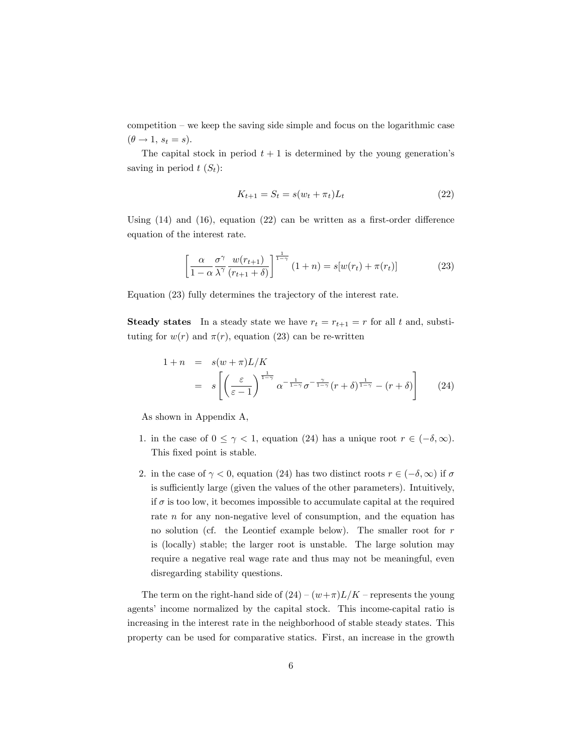competition  $-$  we keep the saving side simple and focus on the logarithmic case  $(\theta \rightarrow 1, s_t = s).$ 

The capital stock in period  $t + 1$  is determined by the young generation's saving in period  $t(S_t)$ :

$$
K_{t+1} = S_t = s(w_t + \pi_t)L_t
$$
\n(22)

Using  $(14)$  and  $(16)$ , equation  $(22)$  can be written as a first-order difference equation of the interest rate.

$$
\left[\frac{\alpha}{1-\alpha} \frac{\sigma^{\gamma}}{\lambda^{\gamma}} \frac{w(r_{t+1})}{(r_{t+1}+\delta)}\right]^{\frac{1}{1-\gamma}} (1+n) = s[w(r_t) + \pi(r_t)] \tag{23}
$$

Equation (23) fully determines the trajectory of the interest rate.

**Steady states** In a steady state we have  $r_t = r_{t+1} = r$  for all t and, substituting for  $w(r)$  and  $\pi(r)$ , equation (23) can be re-written

$$
1 + n = s(w + \pi)L/K
$$
  
=  $s\left[\left(\frac{\varepsilon}{\varepsilon - 1}\right)^{\frac{1}{1 - \gamma}} \alpha^{-\frac{1}{1 - \gamma}} \sigma^{-\frac{\gamma}{1 - \gamma}} (r + \delta)^{\frac{1}{1 - \gamma}} - (r + \delta)\right]$  (24)

As shown in Appendix A,

- 1. in the case of  $0 \leq \gamma < 1$ , equation (24) has a unique root  $r \in (-\delta, \infty)$ . This fixed point is stable.
- 2. in the case of  $\gamma < 0$ , equation (24) has two distinct roots  $r \in (-\delta, \infty)$  if  $\sigma$ is sufficiently large (given the values of the other parameters). Intuitively, if  $\sigma$  is too low, it becomes impossible to accumulate capital at the required rate *n* for any non-negative level of consumption, and the equation has no solution (cf. the Leontief example below). The smaller root for r is (locally) stable; the larger root is unstable. The large solution may require a negative real wage rate and thus may not be meaningful, even disregarding stability questions.

The term on the right-hand side of  $(24)-(w+\pi)L/K$  – represents the young agents' income normalized by the capital stock. This income-capital ratio is increasing in the interest rate in the neighborhood of stable steady states. This property can be used for comparative statics. First, an increase in the growth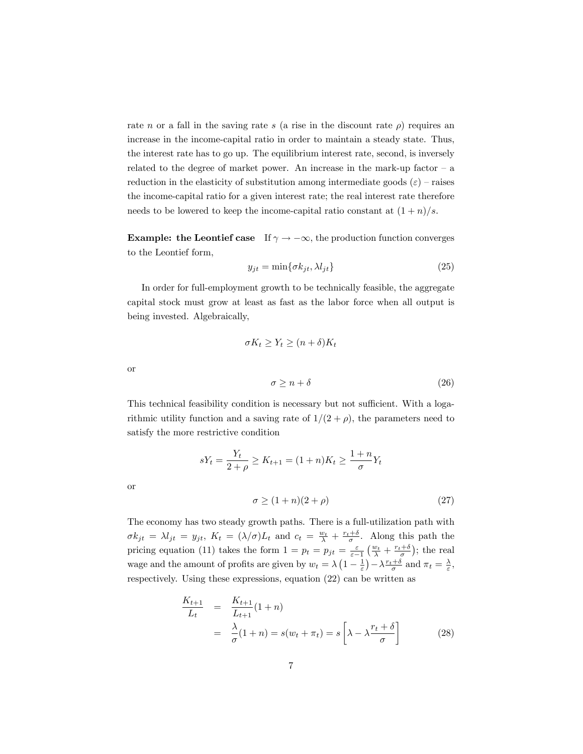rate n or a fall in the saving rate s (a rise in the discount rate  $\rho$ ) requires an increase in the income-capital ratio in order to maintain a steady state. Thus, the interest rate has to go up. The equilibrium interest rate, second, is inversely related to the degree of market power. An increase in the mark-up factor  $-$  a reduction in the elasticity of substitution among intermediate goods  $(\varepsilon)$  – raises the income-capital ratio for a given interest rate; the real interest rate therefore needs to be lowered to keep the income-capital ratio constant at  $(1+n)/s$ .

**Example:** the Leontief case If  $\gamma \to -\infty$ , the production function converges to the Leontief form,

$$
y_{jt} = \min\{\sigma k_{jt}, \lambda l_{jt}\}\tag{25}
$$

In order for full-employment growth to be technically feasible, the aggregate capital stock must grow at least as fast as the labor force when all output is being invested. Algebraically,

$$
\sigma K_t \ge Y_t \ge (n+\delta)K_t
$$
  

$$
\sigma \ge n+\delta
$$
 (26)

This technical feasibility condition is necessary but not sufficient. With a logarithmic utility function and a saving rate of  $1/(2 + \rho)$ , the parameters need to satisfy the more restrictive condition

or

or

$$
sY_t = \frac{Y_t}{2+\rho} \ge K_{t+1} = (1+n)K_t \ge \frac{1+n}{\sigma}Y_t
$$

$$
\sigma \ge (1+n)(2+\rho) \tag{27}
$$

The economy has two steady growth paths. There is a full-utilization path with  $\sigma k_{jt} = \lambda l_{jt} = y_{jt}, K_t = (\lambda/\sigma)L_t$  and  $c_t = \frac{w_t}{\lambda} + \frac{r_t+\delta}{\sigma}$ . Along this path the pricing equation (11) takes the form  $1 = p_t = p_{jt} = \frac{\varepsilon}{\varepsilon - 1} \left( \frac{w_t}{\lambda} + \frac{r_t + \delta}{\sigma} \right)$ ; the real wage and the amount of profits are given by  $w_t = \lambda \left(1 - \frac{1}{\varepsilon}\right) - \lambda \frac{r_t + \delta}{\sigma}$  and  $\pi_t = \frac{\lambda}{\varepsilon}$ , respectively. Using these expressions, equation (22) can be written as

$$
\frac{K_{t+1}}{L_t} = \frac{K_{t+1}}{L_{t+1}}(1+n)
$$
\n
$$
= \frac{\lambda}{\sigma}(1+n) = s(w_t + \pi_t) = s\left[\lambda - \lambda \frac{r_t + \delta}{\sigma}\right]
$$
\n(28)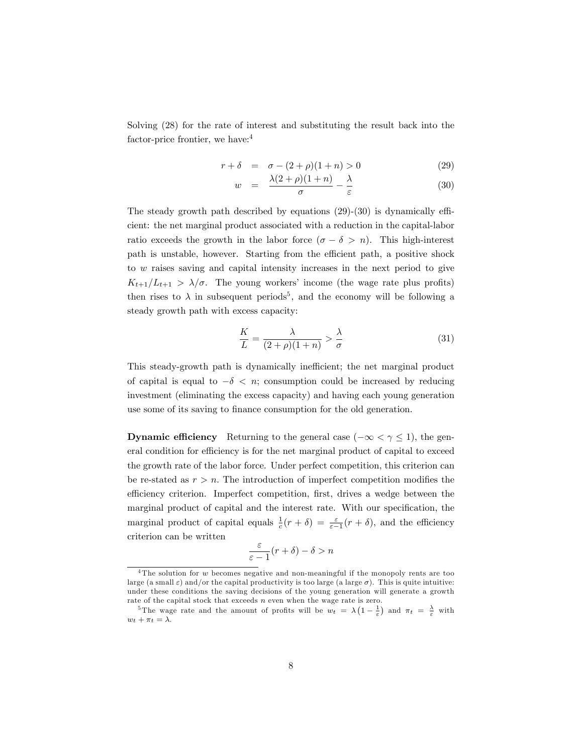Solving (28) for the rate of interest and substituting the result back into the factor-price frontier, we have:<sup>4</sup>

$$
r + \delta = \sigma - (2 + \rho)(1 + n) > 0 \tag{29}
$$

$$
w = \frac{\lambda(2+\rho)(1+n)}{\sigma} - \frac{\lambda}{\varepsilon} \tag{30}
$$

The steady growth path described by equations  $(29)-(30)$  is dynamically efficient: the net marginal product associated with a reduction in the capital-labor ratio exceeds the growth in the labor force  $(\sigma - \delta > n)$ . This high-interest path is unstable, however. Starting from the efficient path, a positive shock to w raises saving and capital intensity increases in the next period to give  $K_{t+1}/L_{t+1} > \lambda/\sigma$ . The young workers' income (the wage rate plus profits) then rises to  $\lambda$  in subsequent periods<sup>5</sup>, and the economy will be following a steady growth path with excess capacity:

$$
\frac{K}{L} = \frac{\lambda}{(2+\rho)(1+n)} > \frac{\lambda}{\sigma} \tag{31}
$$

This steady-growth path is dynamically inefficient; the net marginal product of capital is equal to  $-\delta < n$ ; consumption could be increased by reducing investment (eliminating the excess capacity) and having each young generation use some of its saving to finance consumption for the old generation.

**Dynamic efficiency** Returning to the general case  $(-\infty < \gamma \le 1)$ , the general condition for efficiency is for the net marginal product of capital to exceed the growth rate of the labor force. Under perfect competition, this criterion can be re-stated as  $r > n$ . The introduction of imperfect competition modifies the efficiency criterion. Imperfect competition, first, drives a wedge between the marginal product of capital and the interest rate. With our specification, the marginal product of capital equals  $\frac{1}{c}(r+\delta) = \frac{\varepsilon}{\varepsilon-1}(r+\delta)$ , and the efficiency criterion can be written

$$
\frac{\varepsilon}{\varepsilon - 1}(r + \delta) - \delta > n
$$

<sup>&</sup>lt;sup>4</sup>The solution for  $w$  becomes negative and non-meaningful if the monopoly rents are too large (a small  $\varepsilon$ ) and/or the capital productivity is too large (a large  $\sigma$ ). This is quite intuitive: under these conditions the saving decisions of the young generation will generate a growth rate of the capital stock that exceeds  $n$  even when the wage rate is zero.

<sup>&</sup>lt;sup>5</sup>The wage rate and the amount of profits will be  $w_t = \lambda \left(1 - \frac{1}{\varepsilon}\right)$  and  $\pi_t = \frac{\lambda}{\varepsilon}$  with  $w_t + \pi_t = \lambda.$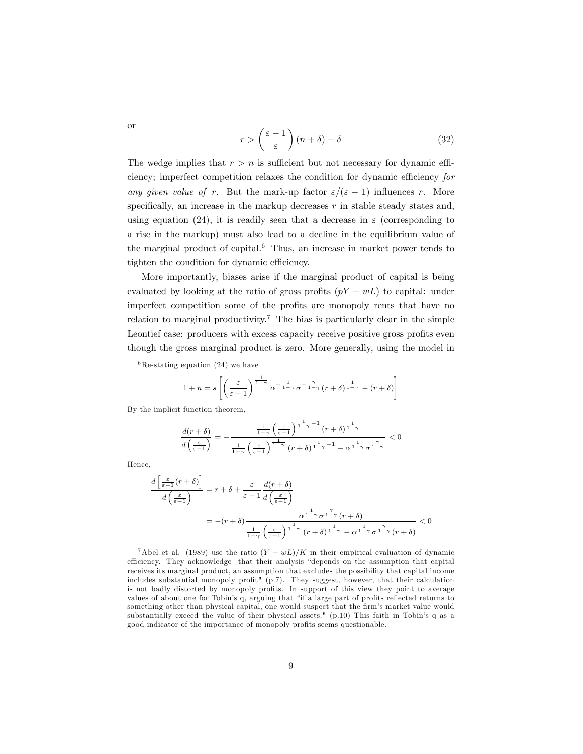$$
r > \left(\frac{\varepsilon - 1}{\varepsilon}\right)(n + \delta) - \delta \tag{32}
$$

The wedge implies that  $r > n$  is sufficient but not necessary for dynamic efficiency; imperfect competition relaxes the condition for dynamic efficiency for any given value of r. But the mark-up factor  $\varepsilon/(\varepsilon - 1)$  influences r. More specifically, an increase in the markup decreases  $r$  in stable steady states and, using equation (24), it is readily seen that a decrease in  $\varepsilon$  (corresponding to a rise in the markup) must also lead to a decline in the equilibrium value of the marginal product of capital.<sup>6</sup> Thus, an increase in market power tends to tighten the condition for dynamic efficiency.

More importantly, biases arise if the marginal product of capital is being evaluated by looking at the ratio of gross profits  $(pY - wL)$  to capital: under imperfect competition some of the profits are monopoly rents that have no relation to marginal productivity.<sup>7</sup> The bias is particularly clear in the simple Leontief case: producers with excess capacity receive positive gross profits even though the gross marginal product is zero. More generally, using the model in

$$
1 + n = s \left[ \left( \frac{\varepsilon}{\varepsilon - 1} \right)^{\frac{1}{1 - \gamma}} \alpha^{-\frac{1}{1 - \gamma}} \sigma^{-\frac{\gamma}{1 - \gamma}} (r + \delta)^{\frac{1}{1 - \gamma}} - (r + \delta) \right]
$$

By the implicit function theorem,

$$
\frac{d(r+\delta)}{d\left(\frac{\varepsilon}{\varepsilon-1}\right)}=-\frac{\frac{1}{1-\gamma}\left(\frac{\varepsilon}{\varepsilon-1}\right)^{\frac{1}{1-\gamma}-1}(r+\delta)^{\frac{1}{1-\gamma}}}{\frac{1}{1-\gamma}\left(\frac{\varepsilon}{\varepsilon-1}\right)^{\frac{1}{1-\gamma}}(r+\delta)^{\frac{1}{1-\gamma}-1}-\alpha^{\frac{1}{1-\gamma}}\sigma^{\frac{\gamma}{1-\gamma}}}<0
$$

Hence,

$$
\frac{d\left[\frac{\varepsilon}{\varepsilon-1}(r+\delta)\right]}{d\left(\frac{\varepsilon}{\varepsilon-1}\right)} = r + \delta + \frac{\varepsilon}{\varepsilon-1} \frac{d(r+\delta)}{d\left(\frac{\varepsilon}{\varepsilon-1}\right)}\n= -(r+\delta) \frac{\alpha^{\frac{1}{1-\gamma}} \sigma^{\frac{\gamma}{1-\gamma}}(r+\delta)}{\frac{1}{1-\gamma} \left(\frac{\varepsilon}{\varepsilon-1}\right)^{\frac{1}{1-\gamma}} (r+\delta)^{\frac{1}{1-\gamma}} - \alpha^{\frac{1}{1-\gamma}} \sigma^{\frac{\gamma}{1-\gamma}}(r+\delta)} < 0
$$

<sup>7</sup>Abel et al. (1989) use the ratio  $(Y - wL)/K$  in their empirical evaluation of dynamic efficiency. They acknowledge that their analysis "depends on the assumption that capital receives its marginal product, an assumption that excludes the possibility that capital income includes substantial monopoly profit" (p.7). They suggest, however, that their calculation is not badly distorted by monopoly profits. In support of this view they point to average values of about one for Tobin's q, arguing that "if a large part of profits reflected returns to something other than physical capital, one would suspect that the firm's market value would substantially exceed the value of their physical assets."  $(p.10)$  This faith in Tobin's q as a good indicator of the importance of monopoly profits seems questionable.

or

 $6\text{Re-stating equation}$  (24) we have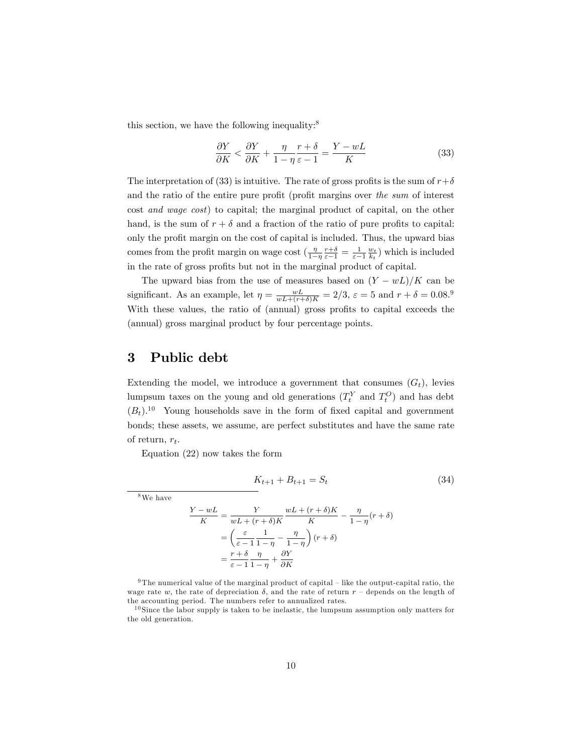this section, we have the following inequality: $8$ 

$$
\frac{\partial Y}{\partial K} < \frac{\partial Y}{\partial K} + \frac{\eta}{1 - \eta} \frac{r + \delta}{\varepsilon - 1} = \frac{Y - wL}{K} \tag{33}
$$

The interpretation of (33) is intuitive. The rate of gross profits is the sum of  $r+\delta$ and the ratio of the entire pure profit (profit margins over the sum of interest cost and wage cost) to capital; the marginal product of capital, on the other hand, is the sum of  $r + \delta$  and a fraction of the ratio of pure profits to capital: only the profit margin on the cost of capital is included. Thus, the upward bias comes from the profit margin on wage cost  $(\frac{\eta}{1-\eta} \frac{r+\delta}{\varepsilon-1} = \frac{1}{\varepsilon-1} \frac{w_t}{k_t})$  which is included in the rate of gross profits but not in the marginal product of capital.

The upward bias from the use of measures based on  $(Y - wL)/K$  can be significant. As an example, let  $\eta = \frac{wL}{wL + (r+\delta)K} = 2/3$ ,  $\varepsilon = 5$  and  $r + \delta = 0.08$ .<sup>9</sup> With these values, the ratio of (annual) gross profits to capital exceeds the (annual) gross marginal product by four percentage points.

#### 3 Public debt

Extending the model, we introduce a government that consumes  $(G_t)$ , levies lumpsum taxes on the young and old generations  $(T_t^Y$  and  $T_t^O$ ) and has debt  $(B_t)$ .<sup>10</sup> Young households save in the form of fixed capital and government bonds; these assets, we assume, are perfect substitutes and have the same rate of return,  $r_t$ .

Equation (22) now takes the form

$$
K_{t+1} + B_{t+1} = S_t \tag{34}
$$

<sup>8</sup>We have

$$
\frac{Y - wL}{K} = \frac{Y}{wL + (r + \delta)K} \frac{wL + (r + \delta)K}{K} - \frac{\eta}{1 - \eta}(r + \delta)
$$

$$
= \left(\frac{\varepsilon}{\varepsilon - 1} \frac{1}{1 - \eta} - \frac{\eta}{1 - \eta}\right)(r + \delta)
$$

$$
= \frac{r + \delta}{\varepsilon - 1} \frac{\eta}{1 - \eta} + \frac{\partial Y}{\partial K}
$$

<sup>9</sup> The numerical value of the marginal product of capital – like the output-capital ratio, the wage rate w, the rate of depreciation  $\delta$ , and the rate of return  $r$  – depends on the length of the accounting period. The numbers refer to annualized rates.

 $10$  Since the labor supply is taken to be inelastic, the lumpsum assumption only matters for the old generation.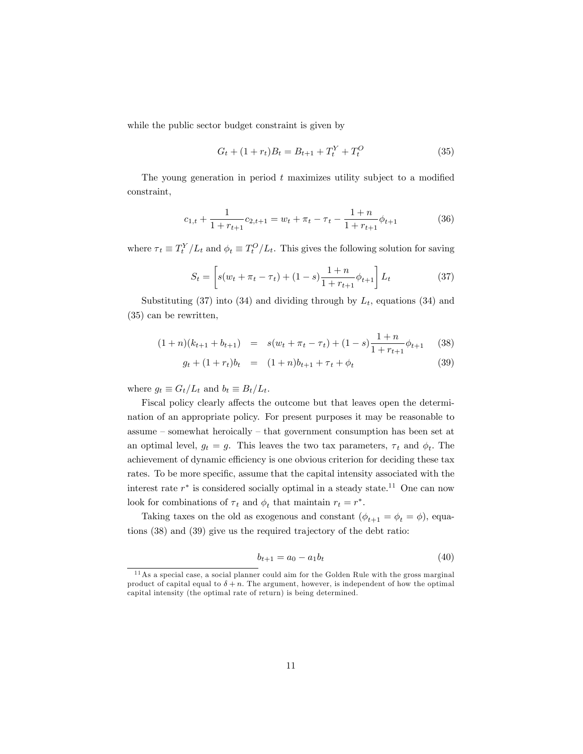while the public sector budget constraint is given by

$$
G_t + (1 + r_t)B_t = B_{t+1} + T_t^Y + T_t^O \tag{35}
$$

The young generation in period  $t$  maximizes utility subject to a modified constraint,

$$
c_{1,t} + \frac{1}{1 + r_{t+1}} c_{2,t+1} = w_t + \pi_t - \tau_t - \frac{1+n}{1 + r_{t+1}} \phi_{t+1}
$$
(36)

where  $\tau_t \equiv T_t^Y/L_t$  and  $\phi_t \equiv T_t^O/L_t$ . This gives the following solution for saving

$$
S_t = \left[ s(w_t + \pi_t - \tau_t) + (1 - s) \frac{1 + n}{1 + r_{t+1}} \phi_{t+1} \right] L_t \tag{37}
$$

Substituting (37) into (34) and dividing through by  $L_t$ , equations (34) and (35) can be rewritten,

$$
(1+n)(k_{t+1} + b_{t+1}) = s(w_t + \pi_t - \tau_t) + (1-s)\frac{1+n}{1+r_{t+1}}\phi_{t+1}
$$
 (38)

$$
g_t + (1 + r_t)b_t = (1 + n)b_{t+1} + \tau_t + \phi_t \tag{39}
$$

where  $g_t \equiv G_t/L_t$  and  $b_t \equiv B_t/L_t$ .

Fiscal policy clearly affects the outcome but that leaves open the determination of an appropriate policy. For present purposes it may be reasonable to  $assume - somewhat heroically - that government consumption has been set at$ an optimal level,  $g_t = g$ . This leaves the two tax parameters,  $\tau_t$  and  $\phi_t$ . The achievement of dynamic efficiency is one obvious criterion for deciding these tax rates. To be more specific, assume that the capital intensity associated with the interest rate  $r^*$  is considered socially optimal in a steady state.<sup>11</sup> One can now look for combinations of  $\tau_t$  and  $\phi_t$  that maintain  $r_t = r^*$ .

Taking taxes on the old as exogenous and constant  $(\phi_{t+1} = \phi_t = \phi)$ , equations (38) and (39) give us the required trajectory of the debt ratio:

$$
b_{t+1} = a_0 - a_1 b_t \tag{40}
$$

<sup>&</sup>lt;sup>11</sup> As a special case, a social planner could aim for the Golden Rule with the gross marginal product of capital equal to  $\delta + n$ . The argument, however, is independent of how the optimal capital intensity (the optimal rate of return) is being determined.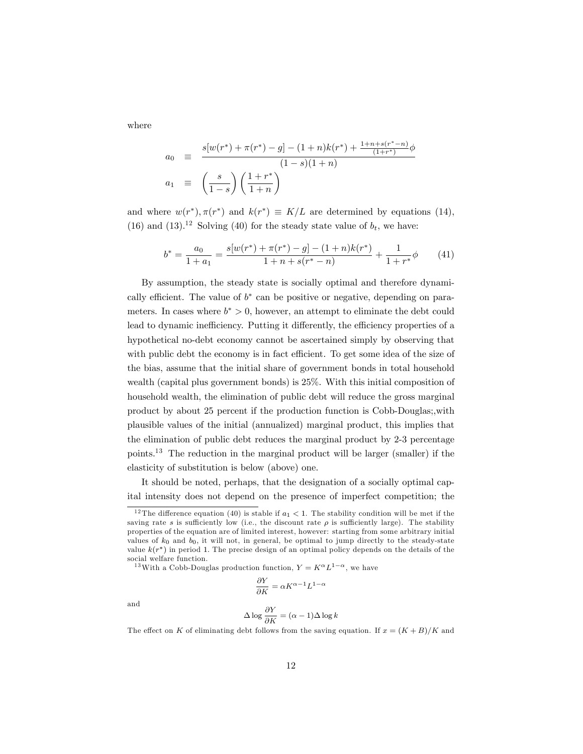where

$$
a_0 \equiv \frac{s[w(r^*) + \pi(r^*) - g] - (1+n)k(r^*) + \frac{1+n+s(r^*-n)}{(1+r^*)}\phi}{(1-s)(1+n)}
$$
  

$$
a_1 \equiv \left(\frac{s}{1-s}\right)\left(\frac{1+r^*}{1+n}\right)
$$

and where  $w(r^*), \pi(r^*)$  and  $k(r^*) \equiv K/L$  are determined by equations (14), (16) and (13).<sup>12</sup> Solving (40) for the steady state value of  $b_t$ , we have:

$$
b^* = \frac{a_0}{1+a_1} = \frac{s[w(r^*) + \pi(r^*) - g] - (1+n)k(r^*)}{1+n+s(r^*-n)} + \frac{1}{1+r^*}\phi \tag{41}
$$

By assumption, the steady state is socially optimal and therefore dynamically efficient. The value of  $b^*$  can be positive or negative, depending on parameters. In cases where  $b^* > 0$ , however, an attempt to eliminate the debt could lead to dynamic inefficiency. Putting it differently, the efficiency properties of a hypothetical no-debt economy cannot be ascertained simply by observing that with public debt the economy is in fact efficient. To get some idea of the size of the bias, assume that the initial share of government bonds in total household wealth (capital plus government bonds) is 25%. With this initial composition of household wealth, the elimination of public debt will reduce the gross marginal product by about 25 percent if the production function is Cobb-Douglas;,with plausible values of the initial (annualized) marginal product, this implies that the elimination of public debt reduces the marginal product by 2-3 percentage points.<sup>13</sup> The reduction in the marginal product will be larger (smaller) if the elasticity of substitution is below (above) one.

It should be noted, perhaps, that the designation of a socially optimal capital intensity does not depend on the presence of imperfect competition; the

<sup>13</sup> With a Cobb-Douglas production function,  $Y = K^{\alpha} L^{1-\alpha}$ , we have

$$
\frac{\partial Y}{\partial K} = \alpha K^{\alpha - 1} L^{1 - \alpha}
$$

and

$$
\Delta \log \frac{\partial Y}{\partial K} = (\alpha - 1) \Delta \log k
$$

The effect on K of eliminating debt follows from the saving equation. If  $x = (K + B)/K$  and

<sup>&</sup>lt;sup>12</sup> The difference equation (40) is stable if  $a_1 < 1$ . The stability condition will be met if the saving rate s is sufficiently low (i.e., the discount rate  $\rho$  is sufficiently large). The stability properties of the equation are of limited interest, however: starting from some arbitrary initial values of  $k_0$  and  $b_0$ , it will not, in general, be optimal to jump directly to the steady-state value  $k(r^*)$  in period 1. The precise design of an optimal policy depends on the details of the social welfare function.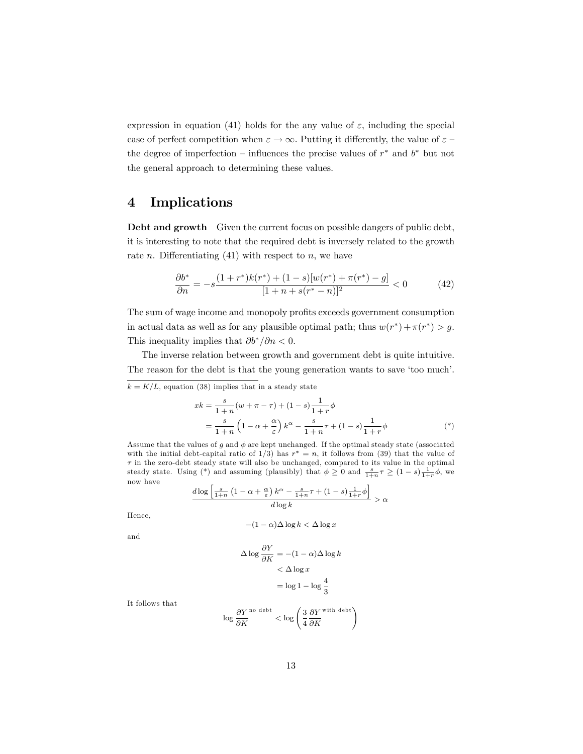expression in equation (41) holds for the any value of  $\varepsilon$ , including the special case of perfect competition when  $\varepsilon \to \infty$ . Putting it differently, the value of  $\varepsilon$  the degree of imperfection – influences the precise values of  $r^*$  and  $b^*$  but not the general approach to determining these values.

#### 4 Implications

Debt and growth Given the current focus on possible dangers of public debt, it is interesting to note that the required debt is inversely related to the growth rate *n*. Differentiating  $(41)$  with respect to *n*, we have

$$
\frac{\partial b^*}{\partial n} = -s \frac{(1+r^*)k(r^*) + (1-s)[w(r^*) + \pi(r^*) - g]}{[1+n+s(r^*-n)]^2} < 0 \tag{42}
$$

The sum of wage income and monopoly profits exceeds government consumption in actual data as well as for any plausible optimal path; thus  $w(r^*) + \pi(r^*) > g$ . This inequality implies that  $\partial b^*/\partial n < 0$ .

The inverse relation between growth and government debt is quite intuitive. The reason for the debt is that the young generation wants to save 'too much'.

 $k = K/L$ , equation (38) implies that in a steady state

$$
xk = \frac{s}{1+n}(w+\pi-\tau) + (1-s)\frac{1}{1+r}\phi
$$
  
= 
$$
\frac{s}{1+n}\left(1-\alpha+\frac{\alpha}{\varepsilon}\right)k^{\alpha} - \frac{s}{1+n}\tau + (1-s)\frac{1}{1+r}\phi
$$
 (\*)

Assume that the values of g and  $\phi$  are kept unchanged. If the optimal steady state (associated with the initial debt-capital ratio of  $1/3$ ) has  $r^* = n$ , it follows from (39) that the value of  $\tau$  in the zero-debt steady state will also be unchanged, compared to its value in the optimal steady state. Using (\*) and assuming (plausibly) that  $\phi \geq 0$  and  $\frac{s}{1+n}\tau \geq (1-s)\frac{1}{1+r}\phi$ , we now have

$$
\frac{d \log \left[\frac{s}{1+n}\left(1-\alpha+\frac{\alpha}{\varepsilon}\right)k^{\alpha}-\frac{s}{1+n}\tau+\left(1-s\right)\frac{1}{1+r}\phi\right]}{d \log k} > \alpha
$$

Hence,

$$
-(1-\alpha)\Delta\log k<\Delta\log x
$$

and

$$
\Delta \log \frac{\partial Y}{\partial K} = -(1 - \alpha) \Delta \log k
$$
  

$$
< \Delta \log x
$$
  

$$
= \log 1 - \log \frac{4}{3}
$$

It follows that

$$
\log \frac{\partial Y}{\partial K}^{\text{no debt}} < \log \left( \frac{3}{4} \frac{\partial Y}{\partial K}^{\text{with debt}} \right)
$$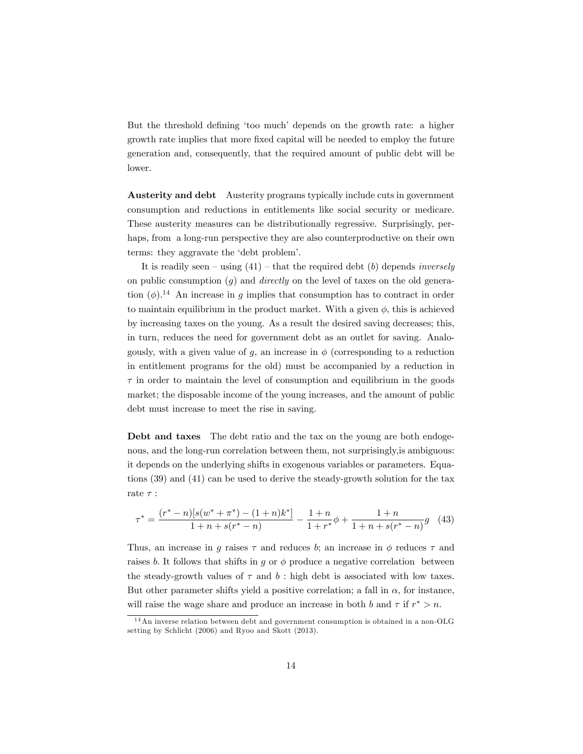But the threshold defining 'too much' depends on the growth rate: a higher growth rate implies that more fixed capital will be needed to employ the future generation and, consequently, that the required amount of public debt will be lower.

Austerity and debt Austerity programs typically include cuts in government consumption and reductions in entitlements like social security or medicare. These austerity measures can be distributionally regressive. Surprisingly, perhaps, from a long-run perspective they are also counterproductive on their own terms: they aggravate the 'debt problem'.

It is readily seen – using  $(41)$  – that the required debt (b) depends *inversely* on public consumption  $(q)$  and *directly* on the level of taxes on the old generation  $(\phi)$ .<sup>14</sup> An increase in q implies that consumption has to contract in order to maintain equilibrium in the product market. With a given  $\phi$ , this is achieved by increasing taxes on the young. As a result the desired saving decreases; this, in turn, reduces the need for government debt as an outlet for saving. Analogously, with a given value of q, an increase in  $\phi$  (corresponding to a reduction in entitlement programs for the old) must be accompanied by a reduction in  $\tau$  in order to maintain the level of consumption and equilibrium in the goods market; the disposable income of the young increases, and the amount of public debt must increase to meet the rise in saving.

Debt and taxes The debt ratio and the tax on the young are both endogenous, and the long-run correlation between them, not surprisingly,is ambiguous: it depends on the underlying shifts in exogenous variables or parameters. Equations (39) and (41) can be used to derive the steady-growth solution for the tax rate $\tau$  :

$$
\tau^* = \frac{(r^* - n)[s(w^* + \pi^*) - (1 + n)k^*]}{1 + n + s(r^* - n)} - \frac{1 + n}{1 + r^*} \phi + \frac{1 + n}{1 + n + s(r^* - n)} g \tag{43}
$$

Thus, an increase in q raises  $\tau$  and reduces b; an increase in  $\phi$  reduces  $\tau$  and raises b. It follows that shifts in q or  $\phi$  produce a negative correlation between the steady-growth values of  $\tau$  and  $b$ : high debt is associated with low taxes. But other parameter shifts yield a positive correlation; a fall in  $\alpha$ , for instance, will raise the wage share and produce an increase in both b and  $\tau$  if  $r^* > n$ .

 $14$ An inverse relation between debt and government consumption is obtained in a non-OLG setting by Schlicht (2006) and Ryoo and Skott (2013).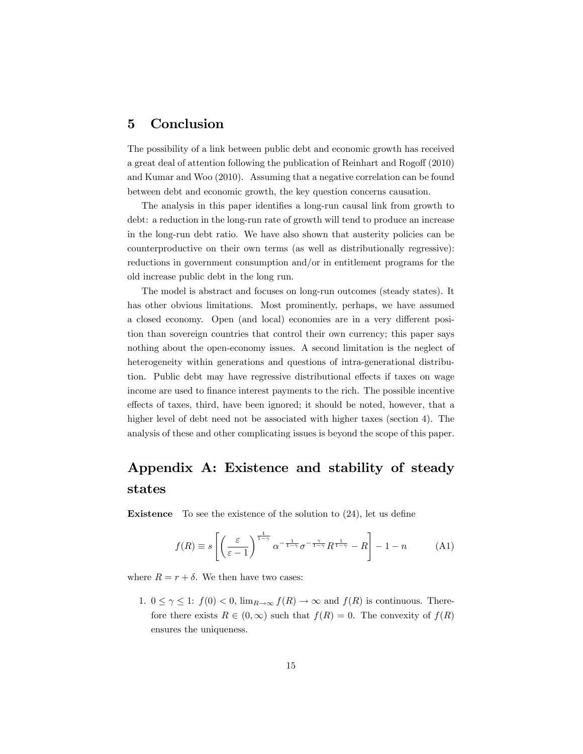#### 5 Conclusion

The possibility of a link between public debt and economic growth has received a great deal of attention following the publication of Reinhart and Rogoff (2010) and Kumar and Woo (2010). Assuming that a negative correlation can be found between debt and economic growth, the key question concerns causation.

The analysis in this paper identifies a long-run causal link from growth to debt: a reduction in the long-run rate of growth will tend to produce an increase in the long-run debt ratio. We have also shown that austerity policies can be counterproductive on their own terms (as well as distributionally regressive): reductions in government consumption and/or in entitlement programs for the old increase public debt in the long run.

The model is abstract and focuses on long-run outcomes (steady states). It has other obvious limitations. Most prominently, perhaps, we have assumed a closed economy. Open (and local) economies are in a very different position than sovereign countries that control their own currency; this paper says nothing about the open-economy issues. A second limitation is the neglect of heterogeneity within generations and questions of intra-generational distribution. Public debt may have regressive distributional effects if taxes on wage income are used to Önance interest payments to the rich. The possible incentive effects of taxes, third, have been ignored; it should be noted, however, that a higher level of debt need not be associated with higher taxes (section 4). The analysis of these and other complicating issues is beyond the scope of this paper.

### Appendix A: Existence and stability of steady states

**Existence** To see the existence of the solution to  $(24)$ , let us define

$$
f(R) \equiv s \left[ \left( \frac{\varepsilon}{\varepsilon - 1} \right)^{\frac{1}{1 - \gamma}} \alpha^{-\frac{1}{1 - \gamma}} \sigma^{-\frac{\gamma}{1 - \gamma}} R^{\frac{1}{1 - \gamma}} - R \right] - 1 - n \tag{A1}
$$

where  $R = r + \delta$ . We then have two cases:

1.  $0 \leq \gamma \leq 1$ :  $f(0) < 0$ ,  $\lim_{R\to\infty} f(R) \to \infty$  and  $f(R)$  is continuous. Therefore there exists  $R \in (0,\infty)$  such that  $f(R) = 0$ . The convexity of  $f(R)$ ensures the uniqueness.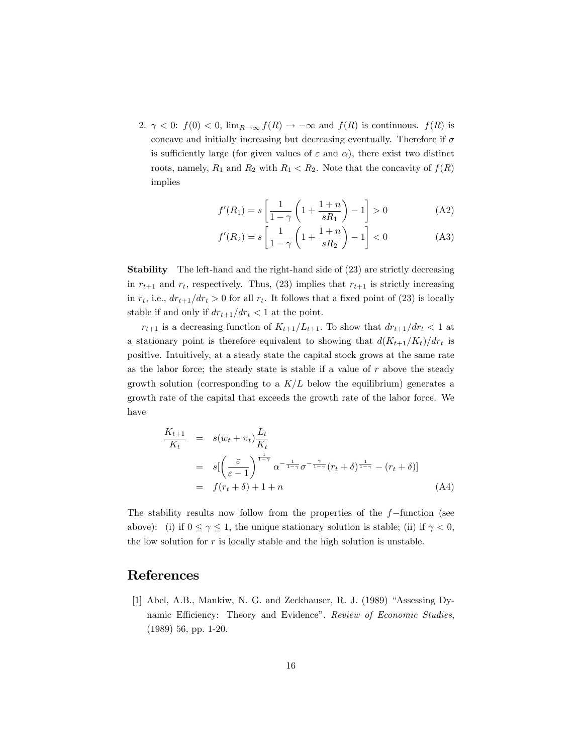2.  $\gamma$  < 0:  $f(0)$  < 0,  $\lim_{R\to\infty} f(R) \to -\infty$  and  $f(R)$  is continuous.  $f(R)$  is concave and initially increasing but decreasing eventually. Therefore if  $\sigma$ is sufficiently large (for given values of  $\varepsilon$  and  $\alpha$ ), there exist two distinct roots, namely,  $R_1$  and  $R_2$  with  $R_1 < R_2$ . Note that the concavity of  $f(R)$ implies

$$
f'(R_1) = s \left[ \frac{1}{1 - \gamma} \left( 1 + \frac{1 + n}{sR_1} \right) - 1 \right] > 0
$$
 (A2)

$$
f'(R_2) = s \left[ \frac{1}{1 - \gamma} \left( 1 + \frac{1 + n}{sR_2} \right) - 1 \right] < 0
$$
 (A3)

Stability The left-hand and the right-hand side of (23) are strictly decreasing in  $r_{t+1}$  and  $r_t$ , respectively. Thus, (23) implies that  $r_{t+1}$  is strictly increasing in  $r_t$ , i.e.,  $dr_{t+1}/dr_t > 0$  for all  $r_t$ . It follows that a fixed point of (23) is locally stable if and only if  $dr_{t+1}/dr_t < 1$  at the point.

 $r_{t+1}$  is a decreasing function of  $K_{t+1}/L_{t+1}$ . To show that  $dr_{t+1}/dr_t < 1$  at a stationary point is therefore equivalent to showing that  $d(K_{t+1}/K_t)/dr_t$  is positive. Intuitively, at a steady state the capital stock grows at the same rate as the labor force; the steady state is stable if a value of  $r$  above the steady growth solution (corresponding to a  $K/L$  below the equilibrium) generates a growth rate of the capital that exceeds the growth rate of the labor force. We have

$$
\frac{K_{t+1}}{K_t} = s(w_t + \pi_t) \frac{L_t}{K_t}
$$
\n
$$
= s \left[ \left( \frac{\varepsilon}{\varepsilon - 1} \right)^{\frac{1}{1 - \gamma}} \alpha^{-\frac{1}{1 - \gamma}} \sigma^{-\frac{\gamma}{1 - \gamma}} (r_t + \delta)^{\frac{1}{1 - \gamma}} - (r_t + \delta) \right]
$$
\n
$$
= f(r_t + \delta) + 1 + n \tag{A4}
$$

The stability results now follow from the properties of the  $f$ -function (see above): (i) if  $0 \le \gamma \le 1$ , the unique stationary solution is stable; (ii) if  $\gamma < 0$ , the low solution for  $r$  is locally stable and the high solution is unstable.

### References

[1] Abel, A.B., Mankiw, N. G. and Zeckhauser, R. J. (1989) "Assessing Dynamic Efficiency: Theory and Evidence". Review of Economic Studies, (1989) 56, pp. 1-20.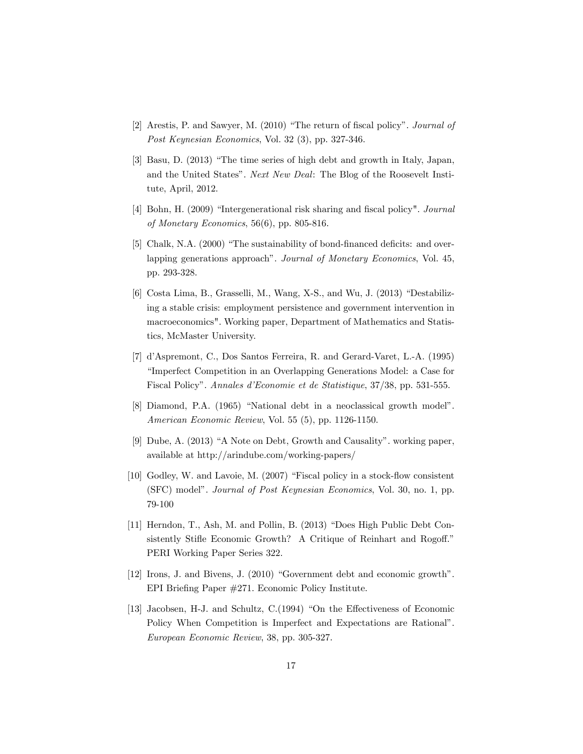- $[2]$  Arestis, P. and Sawyer, M.  $(2010)$  "The return of fiscal policy". *Journal of* Post Keynesian Economics, Vol. 32 (3), pp. 327-346.
- $[3]$  Basu, D.  $(2013)$  "The time series of high debt and growth in Italy, Japan, and the United States". Next New Deal: The Blog of the Roosevelt Institute, April, 2012.
- [4] Bohn, H. (2009) "Intergenerational risk sharing and fiscal policy". Journal of Monetary Economics, 56(6), pp. 805-816.
- [5] Chalk, N.A. (2000) "The sustainability of bond-financed deficits: and overlapping generations approach". Journal of Monetary Economics, Vol. 45, pp. 293-328.
- $[6]$  Costa Lima, B., Grasselli, M., Wang, X-S., and Wu, J.  $(2013)$  "Destabilizing a stable crisis: employment persistence and government intervention in macroeconomics". Working paper, Department of Mathematics and Statistics, McMaster University.
- [7] díAspremont, C., Dos Santos Ferreira, R. and Gerard-Varet, L.-A. (1995) "Imperfect Competition in an Overlapping Generations Model: a Case for Fiscal Policy". Annales d'Economie et de Statistique, 37/38, pp. 531-555.
- [8] Diamond, P.A. (1965) "National debt in a neoclassical growth model". American Economic Review, Vol. 55 (5), pp. 1126-1150.
- [9] Dube, A. (2013) "A Note on Debt, Growth and Causality". working paper, available at http://arindube.com/working-papers/
- $[10]$  Godley, W. and Lavoie, M.  $(2007)$  "Fiscal policy in a stock-flow consistent (SFC) model". Journal of Post Keynesian Economics, Vol. 30, no. 1, pp. 79-100
- [11] Herndon, T., Ash, M. and Pollin, B.  $(2013)$  "Does High Public Debt Consistently Stifle Economic Growth? A Critique of Reinhart and Rogoff." PERI Working Paper Series 322.
- $[12]$  Irons, J. and Bivens, J.  $(2010)$  "Government debt and economic growth". EPI Briefing Paper  $\#271$ . Economic Policy Institute.
- [13] Jacobsen, H-J. and Schultz,  $C(1994)$  "On the Effectiveness of Economic Policy When Competition is Imperfect and Expectations are Rational". European Economic Review, 38, pp. 305-327.